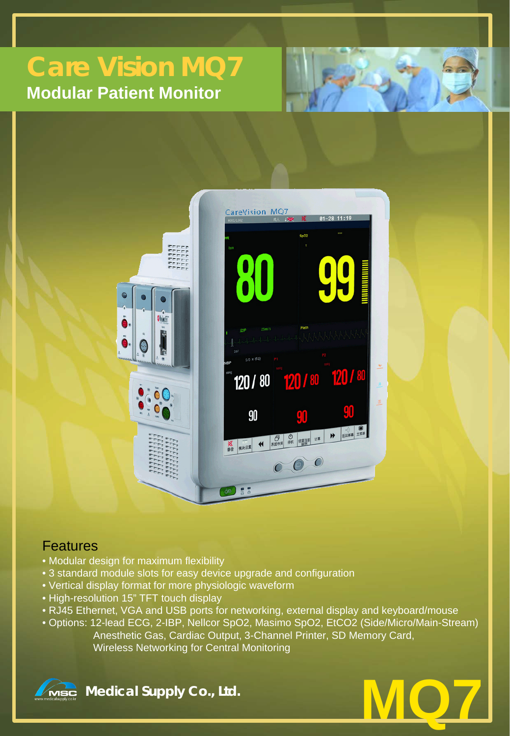# **Care Vision MQ7 Modular Patient Monitor**





### **Features**

- Modular design for maximum flexibility
- 3 standard module slots for easy device upgrade and configuration
- Vertical display format for more physiologic waveform
- High-resolution 15" TFT touch display
- RJ45 Ethernet, VGA and USB ports for networking, external display and keyboard/mouse
- Options: 12-lead ECG, 2-IBP, Nellcor SpO2, Masimo SpO2, EtCO2 (Side/Micro/Main-Stream) Anesthetic Gas, Cardiac Output, 3-Channel Printer, SD Memory Card, Wireless Networking for Central Monitoring